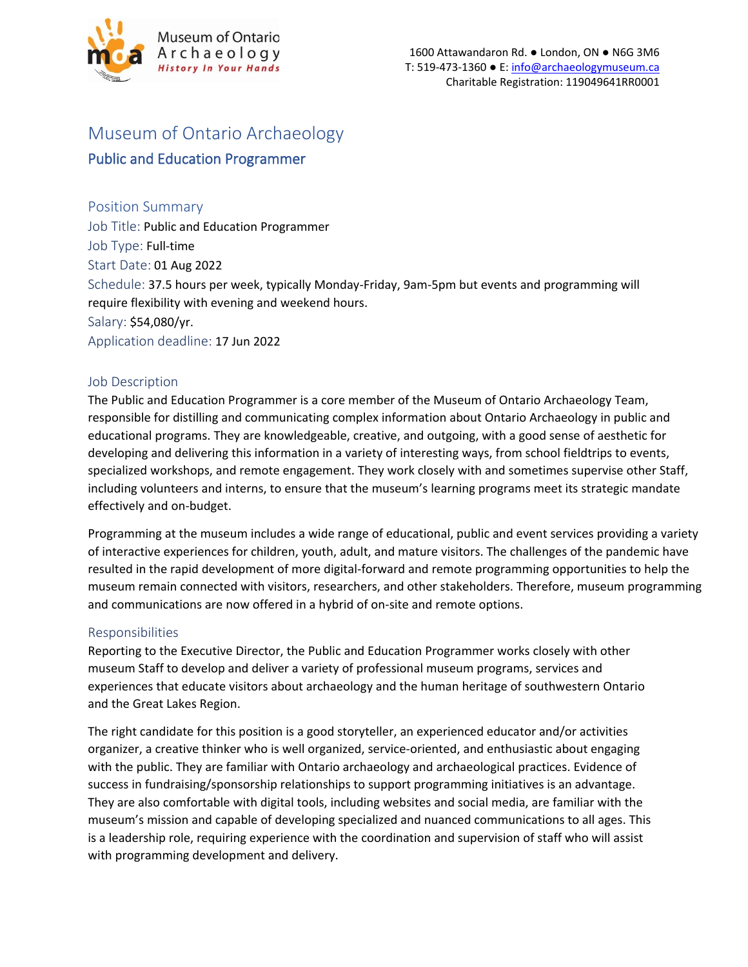

# Museum of Ontario Archaeology

## Public and Education Programmer

## Position Summary

Job Title: Public and Education Programmer Job Type: Full-time Start Date: 01 Aug 2022 Schedule: 37.5 hours per week, typically Monday-Friday, 9am-5pm but events and programming will require flexibility with evening and weekend hours. Salary: \$54,080/yr. Application deadline: 17 Jun 2022

## Job Description

The Public and Education Programmer is a core member of the Museum of Ontario Archaeology Team, responsible for distilling and communicating complex information about Ontario Archaeology in public and educational programs. They are knowledgeable, creative, and outgoing, with a good sense of aesthetic for developing and delivering this information in a variety of interesting ways, from school fieldtrips to events, specialized workshops, and remote engagement. They work closely with and sometimes supervise other Staff, including volunteers and interns, to ensure that the museum's learning programs meet its strategic mandate effectively and on-budget.

Programming at the museum includes a wide range of educational, public and event services providing a variety of interactive experiences for children, youth, adult, and mature visitors. The challenges of the pandemic have resulted in the rapid development of more digital-forward and remote programming opportunities to help the museum remain connected with visitors, researchers, and other stakeholders. Therefore, museum programming and communications are now offered in a hybrid of on-site and remote options.

## Responsibilities

Reporting to the Executive Director, the Public and Education Programmer works closely with other museum Staff to develop and deliver a variety of professional museum programs, services and experiences that educate visitors about archaeology and the human heritage of southwestern Ontario and the Great Lakes Region.

The right candidate for this position is a good storyteller, an experienced educator and/or activities organizer, a creative thinker who is well organized, service-oriented, and enthusiastic about engaging with the public. They are familiar with Ontario archaeology and archaeological practices. Evidence of success in fundraising/sponsorship relationships to support programming initiatives is an advantage. They are also comfortable with digital tools, including websites and social media, are familiar with the museum's mission and capable of developing specialized and nuanced communications to all ages. This is a leadership role, requiring experience with the coordination and supervision of staff who will assist with programming development and delivery.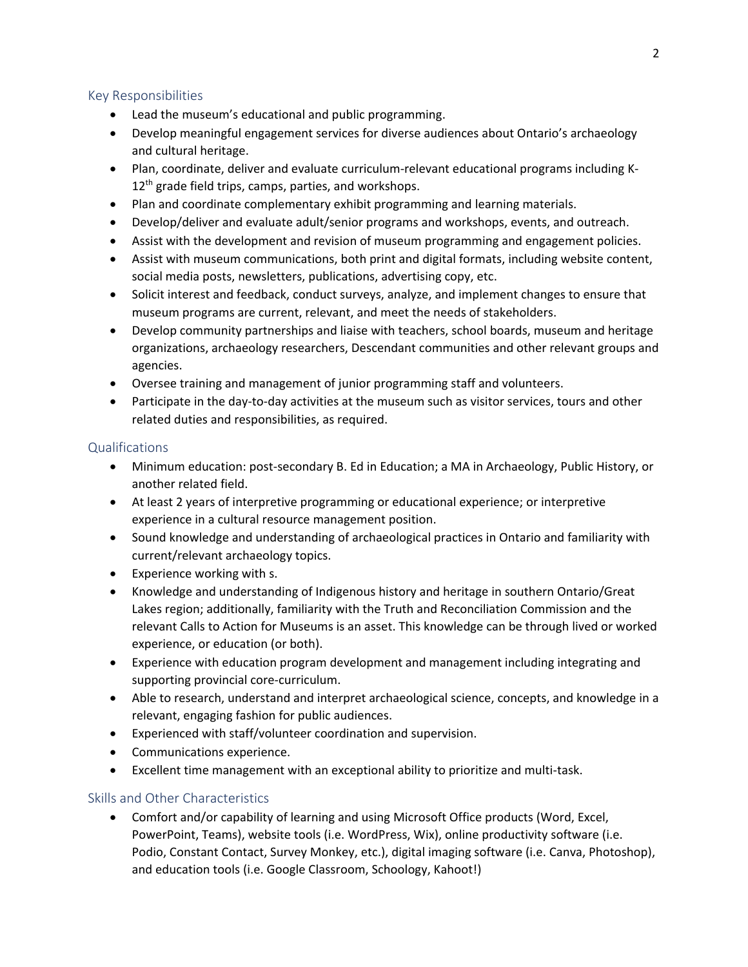#### Key Responsibilities

- Lead the museum's educational and public programming.
- Develop meaningful engagement services for diverse audiences about Ontario's archaeology and cultural heritage.
- Plan, coordinate, deliver and evaluate curriculum-relevant educational programs including K- $12<sup>th</sup>$  grade field trips, camps, parties, and workshops.
- Plan and coordinate complementary exhibit programming and learning materials.
- Develop/deliver and evaluate adult/senior programs and workshops, events, and outreach.
- Assist with the development and revision of museum programming and engagement policies.
- Assist with museum communications, both print and digital formats, including website content, social media posts, newsletters, publications, advertising copy, etc.
- Solicit interest and feedback, conduct surveys, analyze, and implement changes to ensure that museum programs are current, relevant, and meet the needs of stakeholders.
- Develop community partnerships and liaise with teachers, school boards, museum and heritage organizations, archaeology researchers, Descendant communities and other relevant groups and agencies.
- Oversee training and management of junior programming staff and volunteers.
- Participate in the day-to-day activities at the museum such as visitor services, tours and other related duties and responsibilities, as required.

#### Qualifications

- Minimum education: post-secondary B. Ed in Education; a MA in Archaeology, Public History, or another related field.
- At least 2 years of interpretive programming or educational experience; or interpretive experience in a cultural resource management position.
- Sound knowledge and understanding of archaeological practices in Ontario and familiarity with current/relevant archaeology topics.
- Experience working with s.
- Knowledge and understanding of Indigenous history and heritage in southern Ontario/Great Lakes region; additionally, familiarity with the Truth and Reconciliation Commission and the relevant Calls to Action for Museums is an asset. This knowledge can be through lived or worked experience, or education (or both).
- Experience with education program development and management including integrating and supporting provincial core-curriculum.
- Able to research, understand and interpret archaeological science, concepts, and knowledge in a relevant, engaging fashion for public audiences.
- Experienced with staff/volunteer coordination and supervision.
- Communications experience.
- Excellent time management with an exceptional ability to prioritize and multi-task.

## Skills and Other Characteristics

• Comfort and/or capability of learning and using Microsoft Office products (Word, Excel, PowerPoint, Teams), website tools (i.e. WordPress, Wix), online productivity software (i.e. Podio, Constant Contact, Survey Monkey, etc.), digital imaging software (i.e. Canva, Photoshop), and education tools (i.e. Google Classroom, Schoology, Kahoot!)